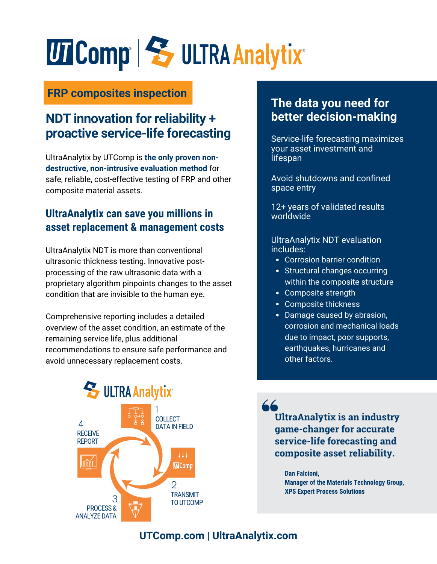# UT Comp S ULTRA Analytix

#### **FRP composites inspection**

#### **NDT innovation for reliability + proactive service-life forecasting**

UltraAnalytix by UTComp is **the only proven nondestructive, non-intrusive evaluation method** for safe, reliable, cost-effective testing of FRP and other composite material assets.

#### **UltraAnalytix can save you millions in asset replacement & management costs**

UltraAnalytix NDT is more than conventional ultrasonic thickness testing. Innovative postprocessing of the raw ultrasonic data with a proprietary algorithm pinpoints changes to the asset condition that are invisible to the human eye.

Comprehensive reporting includes a detailed overview of the asset condition, an estimate of the remaining service life, plus additional recommendations to ensure safe performance and avoid unnecessary replacement costs.



#### **The data you need for better decision-making**

Service-life forecasting maximizes your asset investment and lifespan

Avoid shutdowns and confined space entry

12+ years of validated results worldwide

UltraAnalytix NDT evaluation includes:

- Corrosion barrier condition
- Structural changes occurring within the composite structure
- Composite strength
- Composite thickness
- Damage caused by abrasion, corrosion and mechanical loads due to impact, poor supports, earthquakes, hurricanes and other factors.

**UltraAnalytix is an industry game-changer for accurate service-life forecasting and composite asset reliability.**

**Dan Falcioni, Manager of the Materials Technology Group, XPS Expert Process Solutions**

#### **UTComp[.com](https://rpscomposites.com/service/inspection/) | U[ltraAnalytix.com](https://utcomp.com/inspection-for-frp-composite-assets/)**